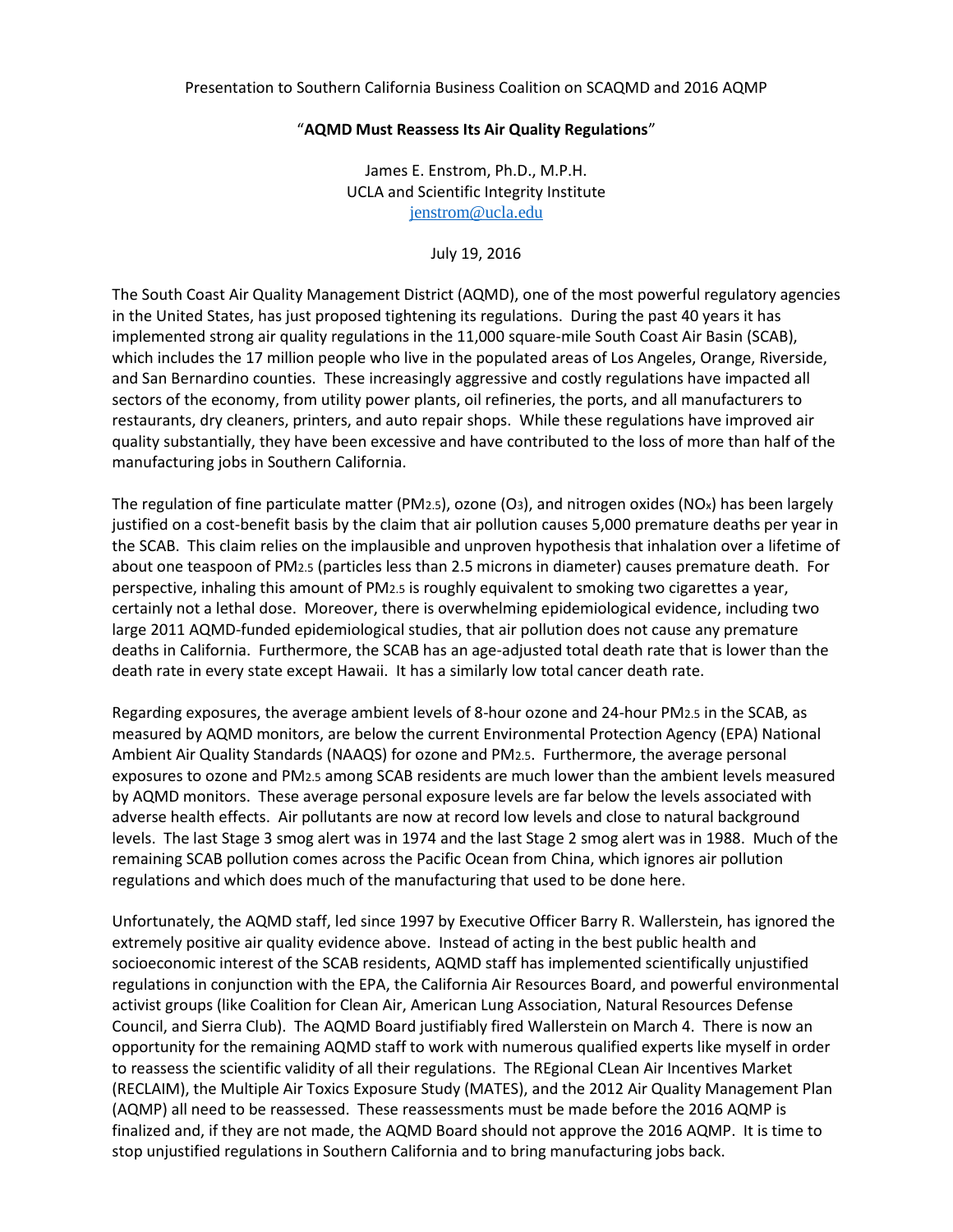## "**AQMD Must Reassess Its Air Quality Regulations**"

James E. Enstrom, Ph.D., M.P.H. UCLA and Scientific Integrity Institute [jenstrom@ucla.edu](mailto:jenstrom@ucla.edu)

July 19, 2016

The South Coast Air Quality Management District (AQMD), one of the most powerful regulatory agencies in the United States, has just proposed tightening its regulations. During the past 40 years it has implemented strong air quality regulations in the 11,000 square-mile South Coast Air Basin (SCAB), which includes the 17 million people who live in the populated areas of Los Angeles, Orange, Riverside, and San Bernardino counties. These increasingly aggressive and costly regulations have impacted all sectors of the economy, from utility power plants, oil refineries, the ports, and all manufacturers to restaurants, dry cleaners, printers, and auto repair shops. While these regulations have improved air quality substantially, they have been excessive and have contributed to the loss of more than half of the manufacturing jobs in Southern California.

The regulation of fine particulate matter (PM2.5), ozone (O3), and nitrogen oxides (NOx) has been largely justified on a cost-benefit basis by the claim that air pollution causes 5,000 premature deaths per year in the SCAB. This claim relies on the implausible and unproven hypothesis that inhalation over a lifetime of about one teaspoon of PM2.5 (particles less than 2.5 microns in diameter) causes premature death. For perspective, inhaling this amount of PM2.5 is roughly equivalent to smoking two cigarettes a year, certainly not a lethal dose. Moreover, there is overwhelming epidemiological evidence, including two large 2011 AQMD-funded epidemiological studies, that air pollution does not cause any premature deaths in California. Furthermore, the SCAB has an age-adjusted total death rate that is lower than the death rate in every state except Hawaii. It has a similarly low total cancer death rate.

Regarding exposures, the average ambient levels of 8-hour ozone and 24-hour PM2.5 in the SCAB, as measured by AQMD monitors, are below the current Environmental Protection Agency (EPA) National Ambient Air Quality Standards (NAAQS) for ozone and PM2.5. Furthermore, the average personal exposures to ozone and PM2.5 among SCAB residents are much lower than the ambient levels measured by AQMD monitors. These average personal exposure levels are far below the levels associated with adverse health effects. Air pollutants are now at record low levels and close to natural background levels. The last Stage 3 smog alert was in 1974 and the last Stage 2 smog alert was in 1988. Much of the remaining SCAB pollution comes across the Pacific Ocean from China, which ignores air pollution regulations and which does much of the manufacturing that used to be done here.

Unfortunately, the AQMD staff, led since 1997 by Executive Officer Barry R. Wallerstein, has ignored the extremely positive air quality evidence above. Instead of acting in the best public health and socioeconomic interest of the SCAB residents, AQMD staff has implemented scientifically unjustified regulations in conjunction with the EPA, the California Air Resources Board, and powerful environmental activist groups (like Coalition for Clean Air, American Lung Association, Natural Resources Defense Council, and Sierra Club). The AQMD Board justifiably fired Wallerstein on March 4. There is now an opportunity for the remaining AQMD staff to work with numerous qualified experts like myself in order to reassess the scientific validity of all their regulations. The REgional CLean Air Incentives Market (RECLAIM), the Multiple Air Toxics Exposure Study (MATES), and the 2012 Air Quality Management Plan (AQMP) all need to be reassessed. These reassessments must be made before the 2016 AQMP is finalized and, if they are not made, the AQMD Board should not approve the 2016 AQMP. It is time to stop unjustified regulations in Southern California and to bring manufacturing jobs back.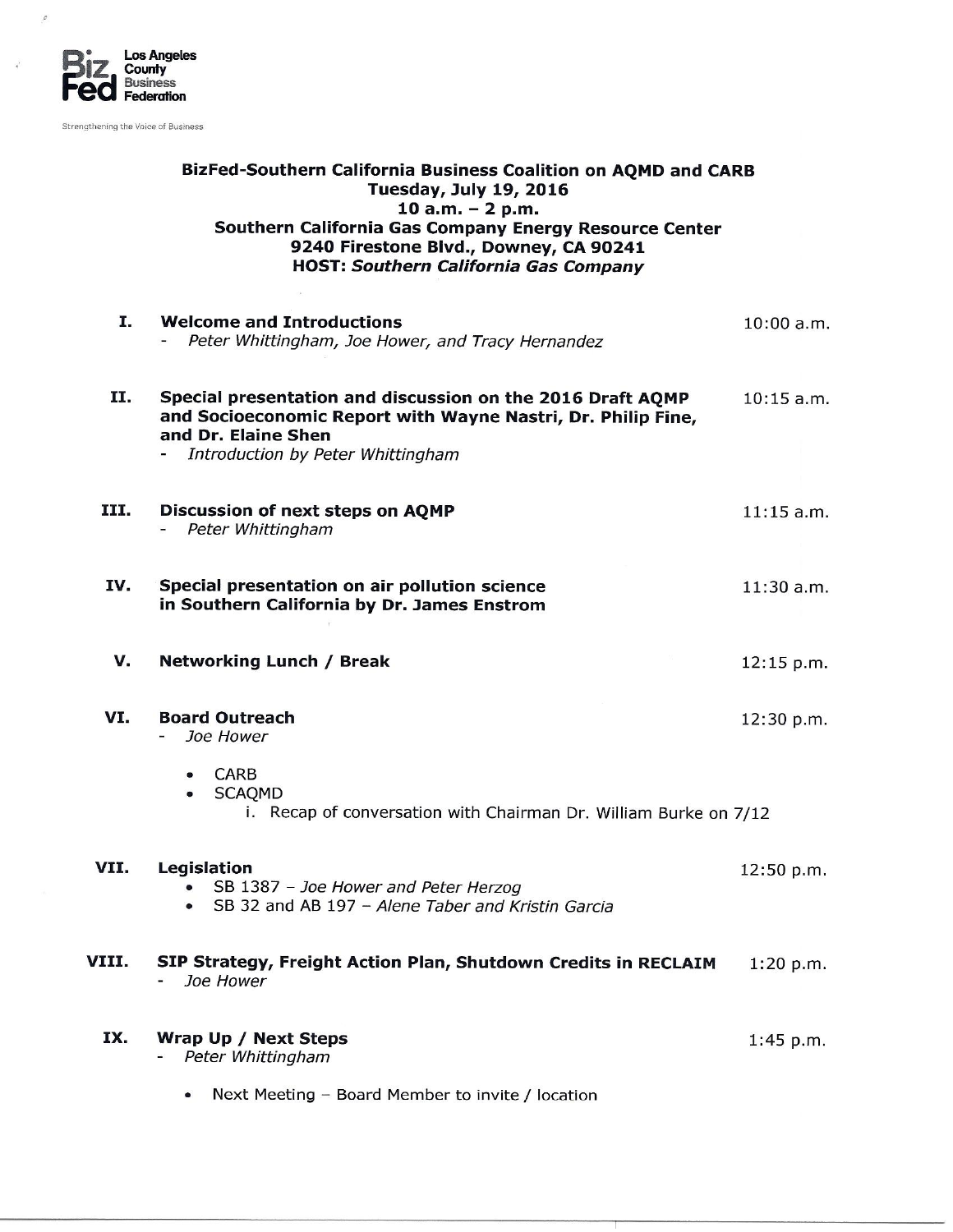

 $\boldsymbol{\mathcal{C}}$ 

Strengthening the Voice of Business

## BizFed-Southern California Business Coalition on AQMD and CARB Tuesday, July 19, 2016  $10$  a.m.  $-$  2 p.m. Southern California Gas Company Energy Resource Center 9240 Firestone Blvd., Downey, CA 90241 **HOST: Southern California Gas Company**

| Ι.    | <b>Welcome and Introductions</b><br>Peter Whittingham, Joe Hower, and Tracy Hernandez                                                                                                  | $10:00$ a.m. |
|-------|----------------------------------------------------------------------------------------------------------------------------------------------------------------------------------------|--------------|
| п.    | Special presentation and discussion on the 2016 Draft AQMP<br>and Socioeconomic Report with Wayne Nastri, Dr. Philip Fine,<br>and Dr. Elaine Shen<br>Introduction by Peter Whittingham | $10:15$ a.m. |
| III.  | Discussion of next steps on AQMP<br>Peter Whittingham                                                                                                                                  | $11:15$ a.m. |
| IV.   | Special presentation on air pollution science<br>in Southern California by Dr. James Enstrom                                                                                           | $11:30$ a.m. |
| v.    | <b>Networking Lunch / Break</b>                                                                                                                                                        | 12:15 p.m.   |
| VI.   | <b>Board Outreach</b><br>Joe Hower                                                                                                                                                     | 12:30 p.m.   |
|       | <b>CARB</b><br>$\bullet$<br><b>SCAQMD</b><br>i. Recap of conversation with Chairman Dr. William Burke on 7/12                                                                          |              |
| VII.  | Legislation<br>SB 1387 - Joe Hower and Peter Herzog<br>SB 32 and AB 197 - Alene Taber and Kristin Garcia<br>$\bullet$                                                                  | 12:50 p.m.   |
| VIII. | SIP Strategy, Freight Action Plan, Shutdown Credits in RECLAIM<br>Joe Hower                                                                                                            | 1:20 p.m.    |
| IX.   | Wrap Up / Next Steps<br>Peter Whittingham                                                                                                                                              | $1:45$ p.m.  |
|       | Next Meeting - Board Member to invite / location                                                                                                                                       |              |